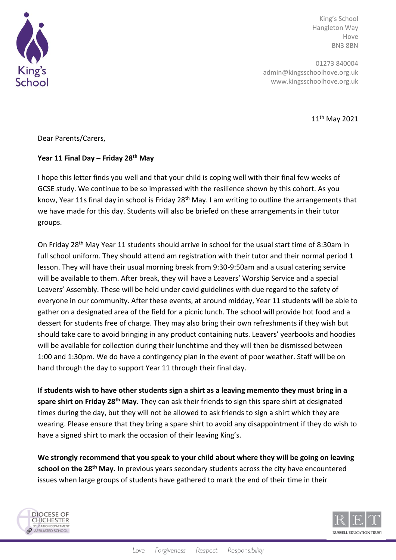

King's School Hangleton Way Hove BN3 8BN

01273 840004 admin@kingsschoolhove.org.uk www.kingsschoolhove.org.uk

11th May 2021

Dear Parents/Carers,

## **Year 11 Final Day – Friday 28th May**

I hope this letter finds you well and that your child is coping well with their final few weeks of GCSE study. We continue to be so impressed with the resilience shown by this cohort. As you know, Year 11s final day in school is Friday 28<sup>th</sup> May. I am writing to outline the arrangements that we have made for this day. Students will also be briefed on these arrangements in their tutor groups.

On Friday 28<sup>th</sup> May Year 11 students should arrive in school for the usual start time of 8:30am in full school uniform. They should attend am registration with their tutor and their normal period 1 lesson. They will have their usual morning break from 9:30-9:50am and a usual catering service will be available to them. After break, they will have a Leavers' Worship Service and a special Leavers' Assembly. These will be held under covid guidelines with due regard to the safety of everyone in our community. After these events, at around midday, Year 11 students will be able to gather on a designated area of the field for a picnic lunch. The school will provide hot food and a dessert for students free of charge. They may also bring their own refreshments if they wish but should take care to avoid bringing in any product containing nuts. Leavers' yearbooks and hoodies will be available for collection during their lunchtime and they will then be dismissed between 1:00 and 1:30pm. We do have a contingency plan in the event of poor weather. Staff will be on hand through the day to support Year 11 through their final day.

**If students wish to have other students sign a shirt as a leaving memento they must bring in a spare shirt on Friday 28th May.** They can ask their friends to sign this spare shirt at designated times during the day, but they will not be allowed to ask friends to sign a shirt which they are wearing. Please ensure that they bring a spare shirt to avoid any disappointment if they do wish to have a signed shirt to mark the occasion of their leaving King's.

**We strongly recommend that you speak to your child about where they will be going on leaving school on the 28th May.** In previous years secondary students across the city have encountered issues when large groups of students have gathered to mark the end of their time in their